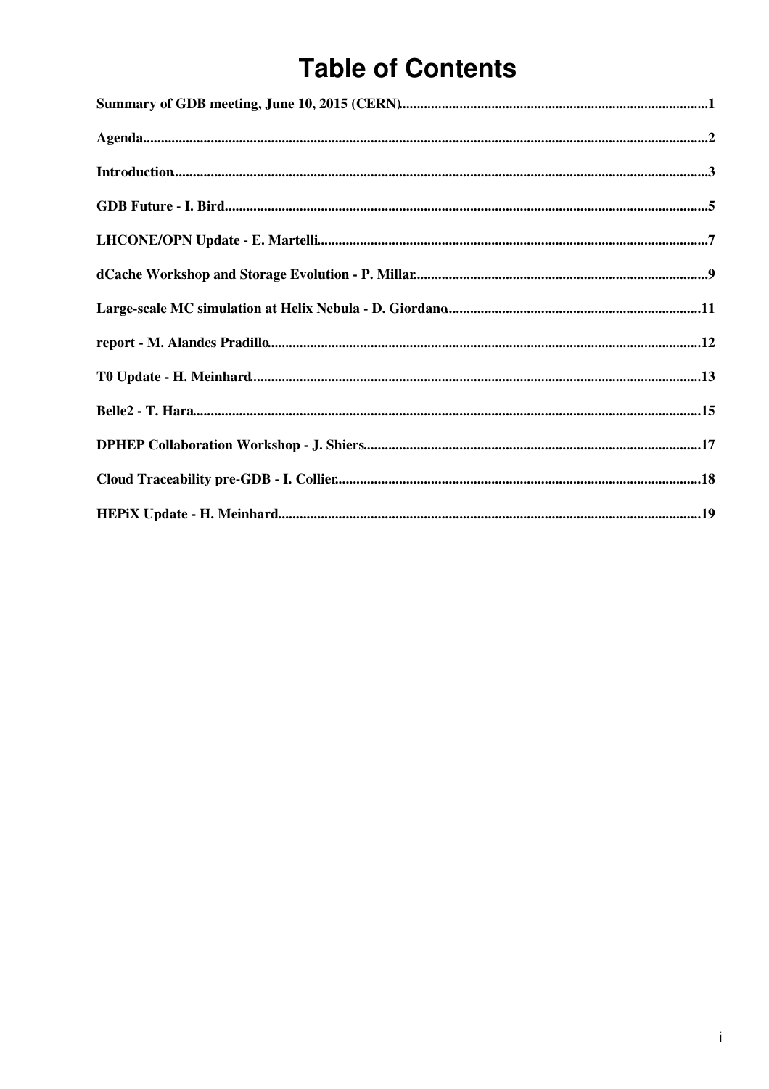# **Table of Contents**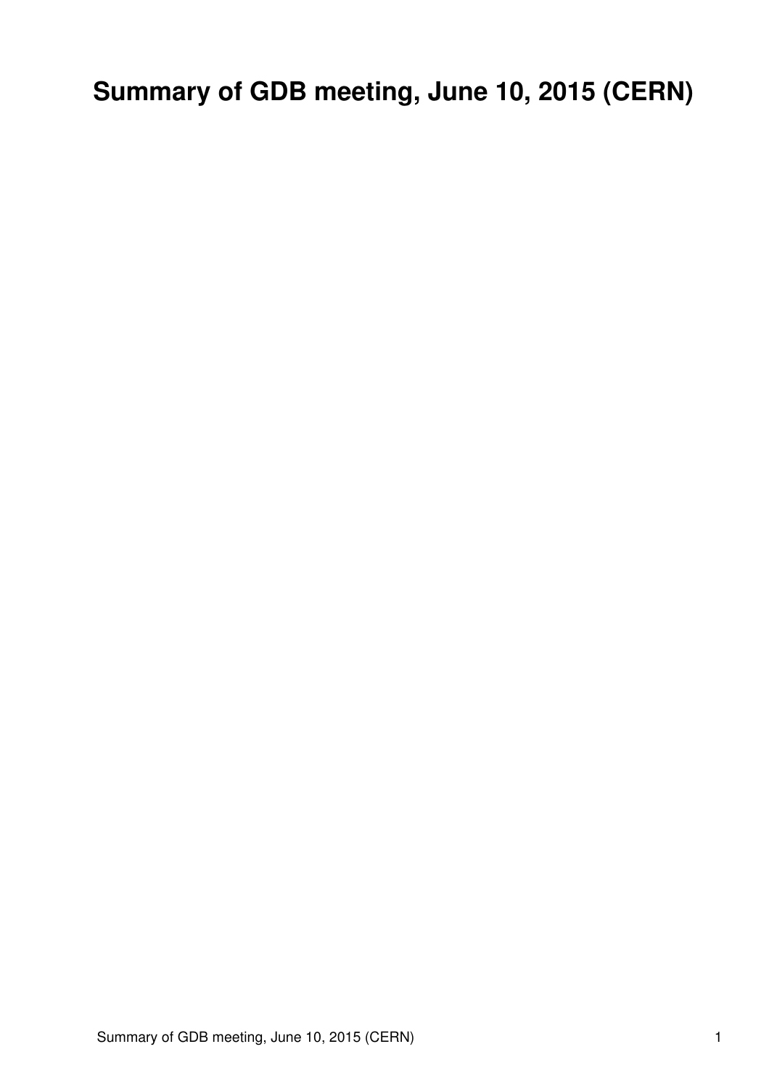<span id="page-1-0"></span>**Summary of GDB meeting, June 10, 2015 (CERN)**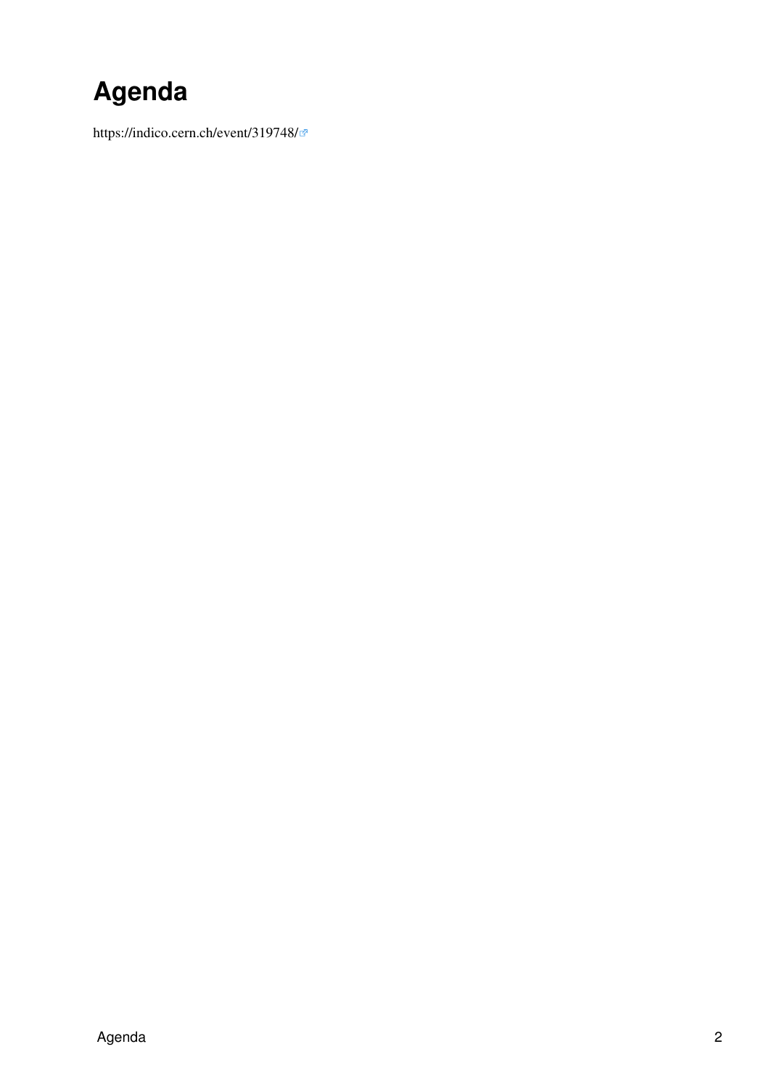# <span id="page-2-0"></span>**Agenda**

<https://indico.cern.ch/event/319748/>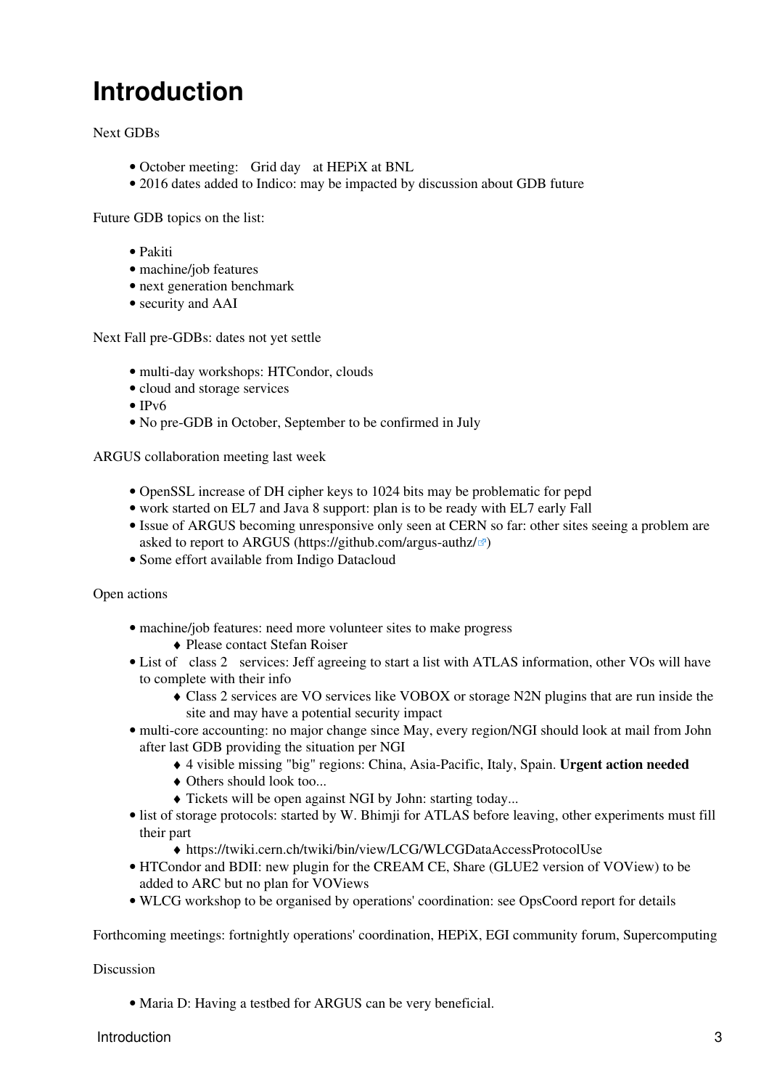## <span id="page-3-0"></span>**Introduction**

Next GDBs

- October meeting: Grid day at [HEPiX](https://twiki.cern.ch/twiki/bin/view/LCG/HEPiX) at BNL
- 2016 dates added to Indico: may be impacted by discussion about GDB future

Future GDB topics on the list:

- Pakiti
- machine/job features
- next generation benchmark
- security and AAI

Next Fall pre-GDBs: dates not yet settle

- multi-day workshops: HTCondor, clouds
- cloud and storage services
- IPv6
- No pre-GDB in October, September to be confirmed in July

ARGUS collaboration meeting last week

- [OpenSSL](https://twiki.cern.ch/twiki/bin/edit/LCG/OpenSSL?topicparent=LCG.GDBMeetingNotes20150610;nowysiwyg=1) increase of DH cipher keys to 1024 bits may be problematic for pepd
- work started on EL7 and Java 8 support: plan is to be ready with EL7 early Fall
- Issue of ARGUS becoming unresponsive only seen at CERN so far: other sites seeing a problem are asked to report to ARGUS [\(https://github.com/argus-authz/](https://github.com/argus-authz/) $\mathcal{P}$ )
- Some effort available from Indigo Datacloud

Open actions

- machine/job features: need more volunteer sites to make progress
	- ♦ Please contact Stefan Roiser
- List of class 2 services: Jeff agreeing to start a list with ATLAS information, other VOs will have to complete with their info
	- Class 2 services are VO services like VOBOX or storage [N2N](https://twiki.cern.ch/twiki/bin/edit/LCG/N2N?topicparent=LCG.GDBMeetingNotes20150610;nowysiwyg=1) plugins that are run inside the ♦ site and may have a potential security impact
- multi-core accounting: no major change since May, every region/NGI should look at mail from John after last GDB providing the situation per NGI
	- ♦ 4 visible missing "big" regions: China, Asia-Pacific, Italy, Spain. **Urgent action needed**
	- ♦ Others should look too...
	- ♦ Tickets will be open against NGI by John: starting today...
- list of storage protocols: started by W. Bhimji for ATLAS before leaving, other experiments must fill their part
	- ♦ <https://twiki.cern.ch/twiki/bin/view/LCG/WLCGDataAccessProtocolUse>
- HTCondor and BDII: new plugin for the [CREAM](https://twiki.cern.ch/twiki/bin/view/LCG/CREAM) CE, Share (GLUE2 version of VOView) to be added to ARC but no plan for VOViews
- WLCG workshop to be organised by operations' coordination: see [OpsCoord](https://twiki.cern.ch/twiki/bin/edit/LCG/OpsCoord?topicparent=LCG.GDBMeetingNotes20150610;nowysiwyg=1) report for details

Forthcoming meetings: fortnightly operations' coordination, [HEPiX](https://twiki.cern.ch/twiki/bin/view/LCG/HEPiX), EGI community forum, Supercomputing

### Discussion

• Maria D: Having a testbed for ARGUS can be very beneficial.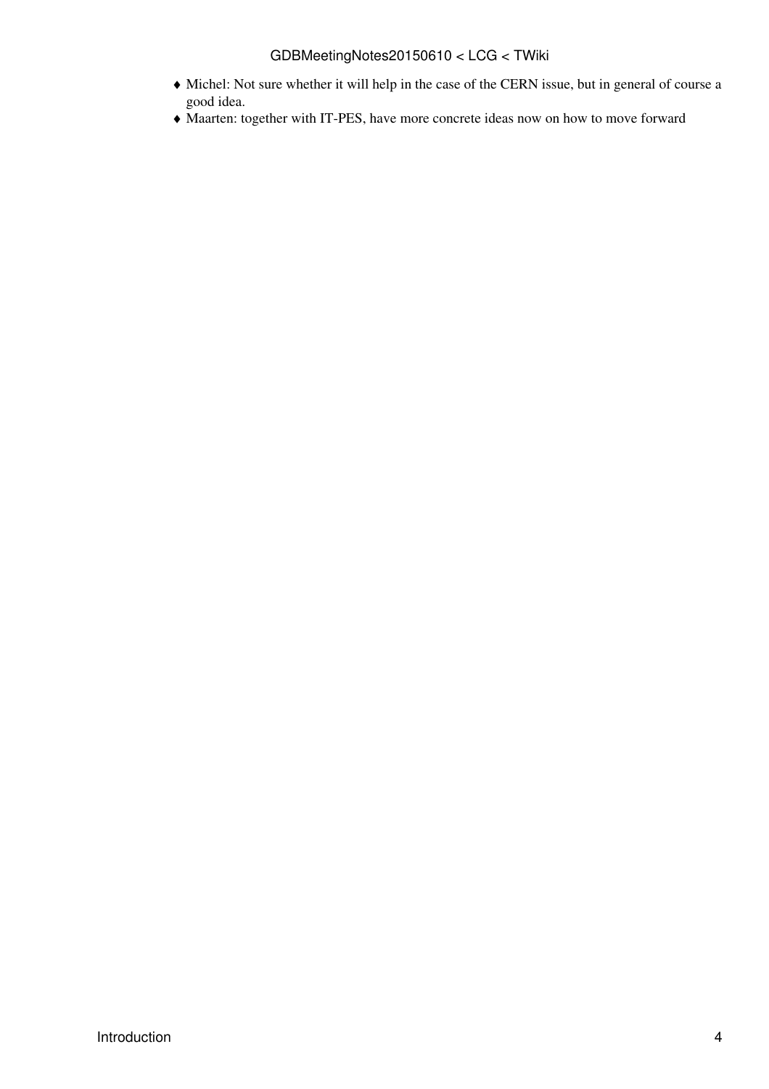## GDBMeetingNotes20150610 < LCG < TWiki

- Michel: Not sure whether it will help in the case of the CERN issue, but in general of course a ♦ good idea.
- ♦ Maarten: together with IT-PES, have more concrete ideas now on how to move forward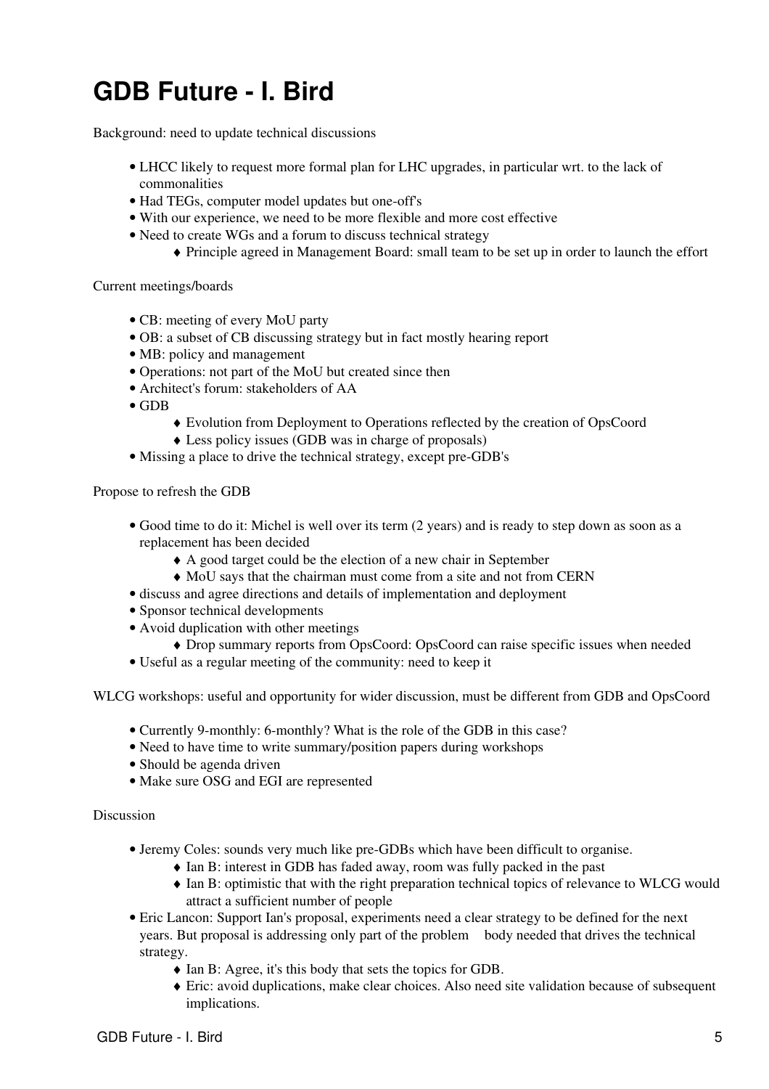# <span id="page-5-0"></span>**GDB Future - I. Bird**

Background: need to update technical discussions

- LHCC likely to request more formal plan for LHC upgrades, in particular wrt. to the lack of commonalities
- Had TEGs, computer model updates but one-off's
- With our experience, we need to be more flexible and more cost effective
- Need to create WGs and a forum to discuss technical strategy
	- ♦ Principle agreed in Management Board: small team to be set up in order to launch the effort

Current meetings/boards

- CB: meeting of every [MoU](https://twiki.cern.ch/twiki/bin/view/LCG/MoU) party
- OB: a subset of CB discussing strategy but in fact mostly hearing report
- MB: policy and management
- Operations: not part of the [MoU](https://twiki.cern.ch/twiki/bin/view/LCG/MoU) but created since then
- Architect's forum: stakeholders of AA
- GDB
	- ♦ Evolution from Deployment to Operations reflected by the creation of [OpsCoord](https://twiki.cern.ch/twiki/bin/edit/LCG/OpsCoord?topicparent=LCG.GDBMeetingNotes20150610;nowysiwyg=1)
	- ♦ Less policy issues (GDB was in charge of proposals)
- Missing a place to drive the technical strategy, except pre-GDB's

Propose to refresh the GDB

- Good time to do it: Michel is well over its term (2 years) and is ready to step down as soon as a replacement has been decided
	- ♦ A good target could be the election of a new chair in September
	- ♦ [MoU](https://twiki.cern.ch/twiki/bin/view/LCG/MoU) says that the chairman must come from a site and not from CERN
- discuss and agree directions and details of implementation and deployment
- Sponsor technical developments
- Avoid duplication with other meetings
	- ♦ Drop summary reports from [OpsCoord:](https://twiki.cern.ch/twiki/bin/edit/LCG/OpsCoord?topicparent=LCG.GDBMeetingNotes20150610;nowysiwyg=1) [OpsCoord](https://twiki.cern.ch/twiki/bin/edit/LCG/OpsCoord?topicparent=LCG.GDBMeetingNotes20150610;nowysiwyg=1) can raise specific issues when needed
- Useful as a regular meeting of the community: need to keep it

WLCG workshops: useful and opportunity for wider discussion, must be different from GDB and [OpsCoord](https://twiki.cern.ch/twiki/bin/edit/LCG/OpsCoord?topicparent=LCG.GDBMeetingNotes20150610;nowysiwyg=1)

- Currently 9-monthly: 6-monthly? What is the role of the GDB in this case?
- Need to have time to write summary/position papers during workshops
- Should be agenda driven
- Make sure OSG and EGI are represented

- Jeremy Coles: sounds very much like pre-GDBs which have been difficult to organise.
	- ♦ Ian B: interest in GDB has faded away, room was fully packed in the past
	- Ian B: optimistic that with the right preparation technical topics of relevance to WLCG would attract a sufficient number of people
- Eric Lancon: Support Ian's proposal, experiments need a clear strategy to be defined for the next years. But proposal is addressing only part of the problem body needed that drives the technical strategy.
	- ♦ Ian B: Agree, it's this body that sets the topics for GDB.
	- Eric: avoid duplications, make clear choices. Also need site validation because of subsequent ♦ implications.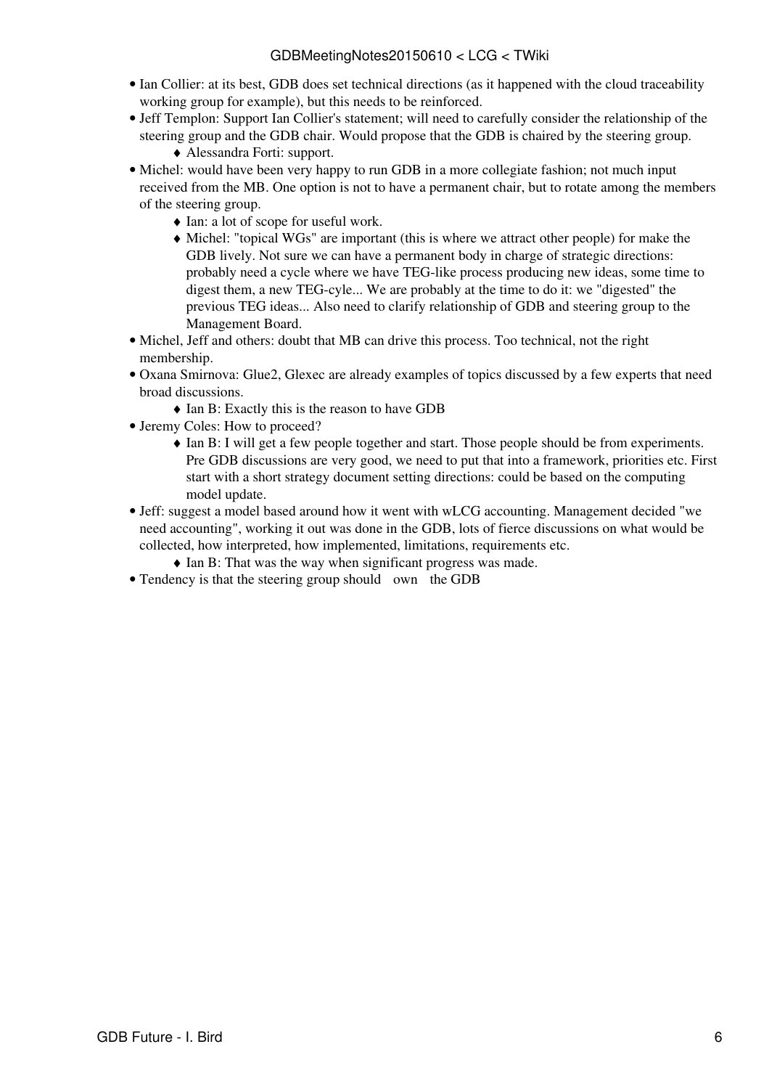- Ian Collier: at its best, GDB does set technical directions (as it happened with the cloud traceability working group for example), but this needs to be reinforced.
- Jeff Templon: Support Ian Collier's statement; will need to carefully consider the relationship of the steering group and the GDB chair. Would propose that the GDB is chaired by the steering group.

```
♦ Alessandra Forti: support.
```
- Michel: would have been very happy to run GDB in a more collegiate fashion; not much input received from the MB. One option is not to have a permanent chair, but to rotate among the members of the steering group.
	- ♦ Ian: a lot of scope for useful work.
	- Michel: "topical WGs" are important (this is where we attract other people) for make the ♦ GDB lively. Not sure we can have a permanent body in charge of strategic directions: probably need a cycle where we have TEG-like process producing new ideas, some time to digest them, a new TEG-cyle... We are probably at the time to do it: we "digested" the previous TEG ideas... Also need to clarify relationship of GDB and steering group to the Management Board.
- Michel, Jeff and others: doubt that MB can drive this process. Too technical, not the right membership.
- Oxana Smirnova: Glue2, Glexec are already examples of topics discussed by a few experts that need broad discussions.
	- ♦ Ian B: Exactly this is the reason to have GDB
- Jeremy Coles: How to proceed?
	- Ian B: I will get a few people together and start. Those people should be from experiments. Pre GDB discussions are very good, we need to put that into a framework, priorities etc. First start with a short strategy document setting directions: could be based on the computing model update.
- Jeff: suggest a model based around how it went with wLCG accounting. Management decided "we need accounting", working it out was done in the GDB, lots of fierce discussions on what would be collected, how interpreted, how implemented, limitations, requirements etc.
	- ♦ Ian B: That was the way when significant progress was made.
- Tendency is that the steering group should own the GDB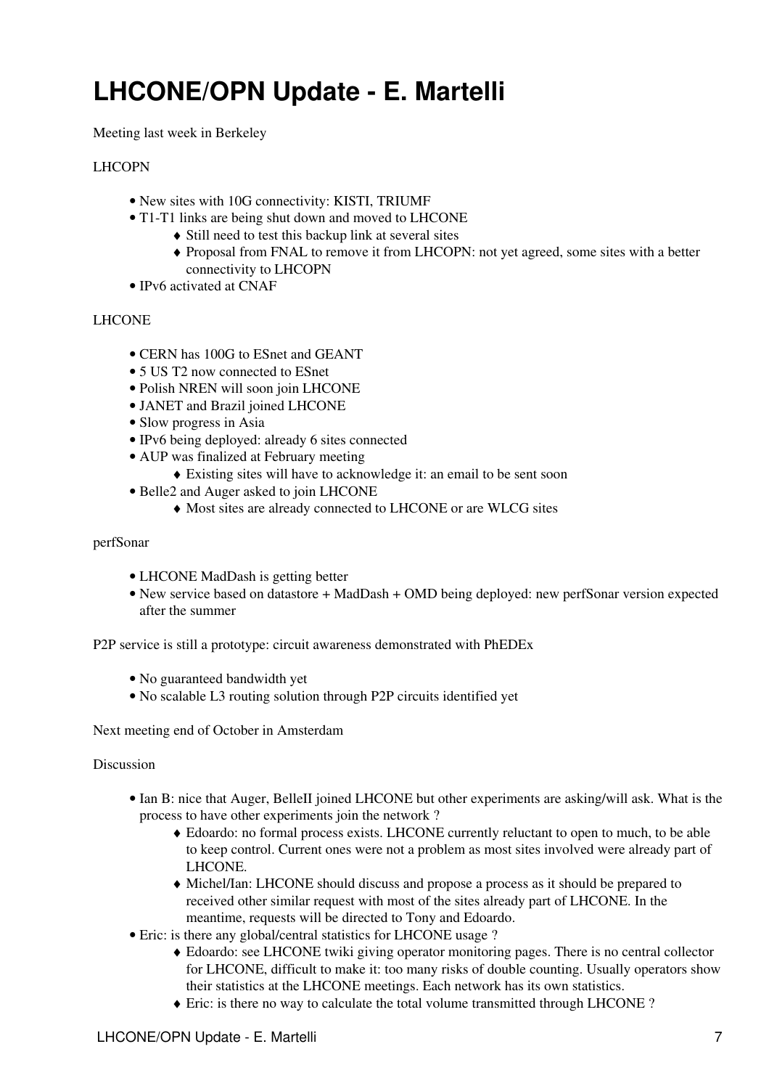## <span id="page-7-0"></span>**LHCONE/OPN Update - E. Martelli**

Meeting last week in Berkeley

### LHCOPN

- New sites with 10G connectivity: KISTI, TRIUMF
- T1-T1 links are being shut down and moved to LHCONE
	- ♦ Still need to test this backup link at several sites
	- Proposal from FNAL to remove it from LHCOPN: not yet agreed, some sites with a better ♦ connectivity to LHCOPN
- IPv6 activated at CNAF

### LHCONE

- CERN has 100G to ESnet and GEANT
- 5 US T2 now connected to ESnet
- Polish NREN will soon join LHCONE
- JANET and Brazil joined LHCONE
- Slow progress in Asia
- IPv6 being deployed: already 6 sites connected
- AUP was finalized at February meeting
	- ♦ Existing sites will have to acknowledge it: an email to be sent soon
- Belle2 and Auger asked to join LHCONE
	- ♦ Most sites are already connected to LHCONE or are WLCG sites

#### perfSonar

- LHCONE [MadDash](https://twiki.cern.ch/twiki/bin/edit/LCG/MadDash?topicparent=LCG.GDBMeetingNotes20150610;nowysiwyg=1) is getting better
- New service based on datastore + [MadDash](https://twiki.cern.ch/twiki/bin/edit/LCG/MadDash?topicparent=LCG.GDBMeetingNotes20150610;nowysiwyg=1) + OMD being deployed: new perfSonar version expected after the summer

[P2P](https://twiki.cern.ch/twiki/bin/edit/LCG/P2P?topicparent=LCG.GDBMeetingNotes20150610;nowysiwyg=1) service is still a prototype: circuit awareness demonstrated with [PhEDEx](https://twiki.cern.ch/twiki/bin/view/LCG/PhEDEx)

- No guaranteed bandwidth yet
- No scalable L3 routing solution through [P2P](https://twiki.cern.ch/twiki/bin/edit/LCG/P2P?topicparent=LCG.GDBMeetingNotes20150610;nowysiwyg=1) circuits identified yet

Next meeting end of October in Amsterdam

- Ian B: nice that Auger, [BelleII](https://twiki.cern.ch/twiki/bin/edit/LCG/BelleII?topicparent=LCG.GDBMeetingNotes20150610;nowysiwyg=1) joined LHCONE but other experiments are asking/will ask. What is the process to have other experiments join the network ?
	- Edoardo: no formal process exists. LHCONE currently reluctant to open to much, to be able ♦ to keep control. Current ones were not a problem as most sites involved were already part of LHCONE.
	- Michel/Ian: LHCONE should discuss and propose a process as it should be prepared to ♦ received other similar request with most of the sites already part of LHCONE. In the meantime, requests will be directed to Tony and Edoardo.
- Eric: is there any global/central statistics for LHCONE usage ?
	- Edoardo: see LHCONE twiki giving operator monitoring pages. There is no central collector ♦ for LHCONE, difficult to make it: too many risks of double counting. Usually operators show their statistics at the LHCONE meetings. Each network has its own statistics.
	- ♦ Eric: is there no way to calculate the total volume transmitted through LHCONE ?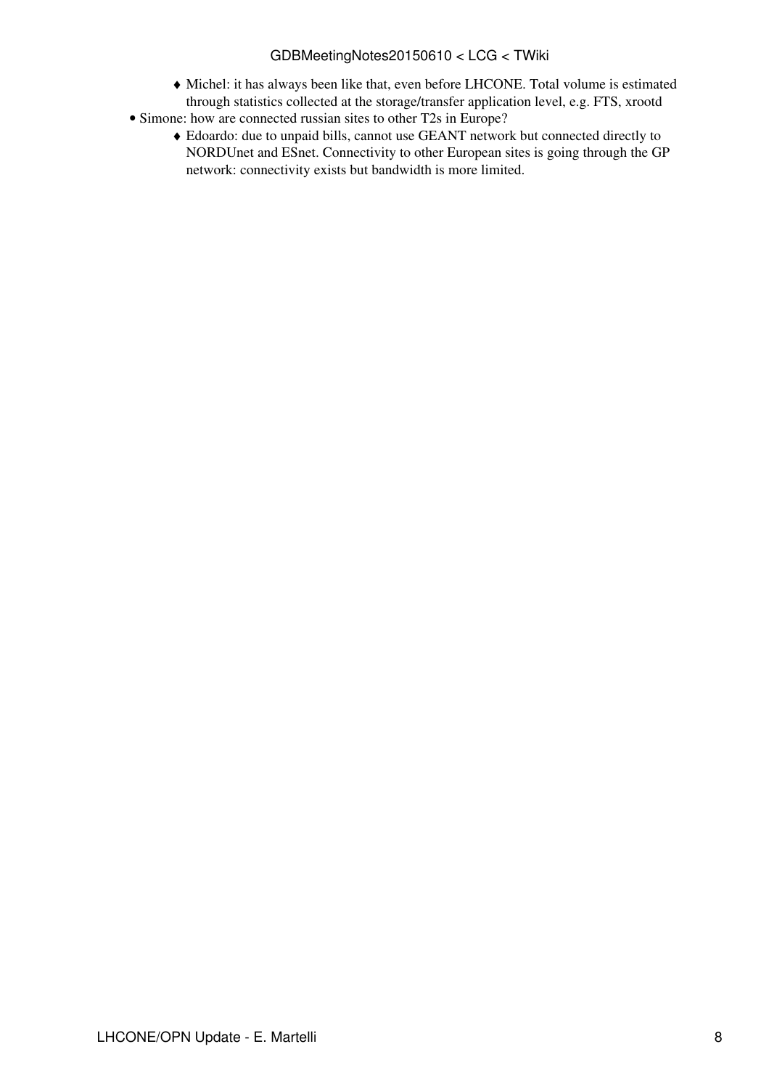## GDBMeetingNotes20150610 < LCG < TWiki

- Michel: it has always been like that, even before LHCONE. Total volume is estimated ♦ through statistics collected at the storage/transfer application level, e.g. FTS, xrootd
- Simone: how are connected russian sites to other T2s in Europe?
	- Edoardo: due to unpaid bills, cannot use GEANT network but connected directly to ♦ NORDUnet and ESnet. Connectivity to other European sites is going through the GP network: connectivity exists but bandwidth is more limited.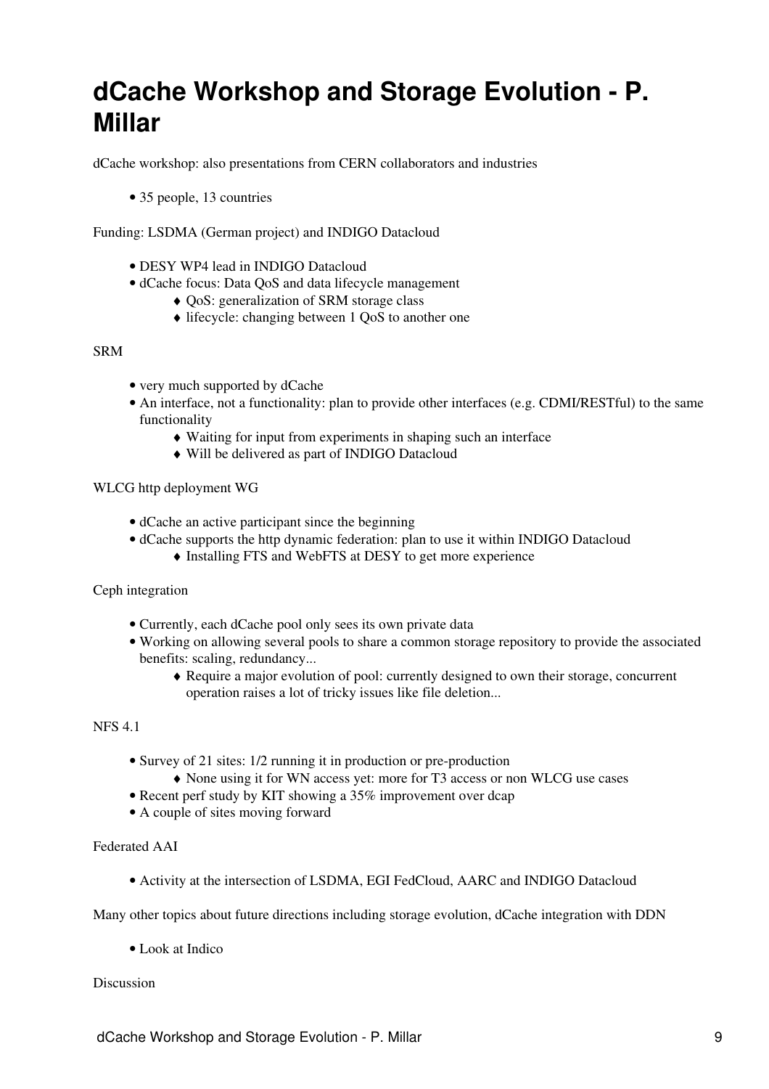## <span id="page-9-0"></span>**dCache Workshop and Storage Evolution - P. Millar**

dCache workshop: also presentations from CERN collaborators and industries

• 35 people, 13 countries

Funding: LSDMA (German project) and INDIGO Datacloud

- DESY WP4 lead in INDIGO Datacloud
- dCache focus: Data [QoS](https://twiki.cern.ch/twiki/bin/view/LCG/QoS) and data lifecycle management
	- ♦ [QoS:](https://twiki.cern.ch/twiki/bin/view/LCG/QoS) generalization of SRM storage class
	- ♦ lifecycle: changing between 1 [QoS](https://twiki.cern.ch/twiki/bin/view/LCG/QoS) to another one

### SRM

- very much supported by dCache
- An interface, not a functionality: plan to provide other interfaces (e.g. CDMI/RESTful) to the same functionality
	- ♦ Waiting for input from experiments in shaping such an interface
	- ♦ Will be delivered as part of INDIGO Datacloud

WLCG http deployment WG

- dCache an active participant since the beginning
- dCache supports the http dynamic federation: plan to use it within INDIGO Datacloud
	- ♦ Installing FTS and [WebFTS](https://twiki.cern.ch/twiki/bin/edit/LCG/WebFTS?topicparent=LCG.GDBMeetingNotes20150610;nowysiwyg=1) at DESY to get more experience

Ceph integration

- Currently, each dCache pool only sees its own private data
- Working on allowing several pools to share a common storage repository to provide the associated benefits: scaling, redundancy...
	- Require a major evolution of pool: currently designed to own their storage, concurrent ♦ operation raises a lot of tricky issues like file deletion...

#### NFS 4.1

- Survey of 21 sites: 1/2 running it in production or pre-production
	- ♦ None using it for WN access yet: more for T3 access or non WLCG use cases
- Recent perf study by KIT showing a 35% improvement over dcap
- A couple of sites moving forward

## Federated AAI

• Activity at the intersection of LSDMA, EGI [FedCloud](https://twiki.cern.ch/twiki/bin/edit/LCG/FedCloud?topicparent=LCG.GDBMeetingNotes20150610;nowysiwyg=1), AARC and INDIGO Datacloud

Many other topics about future directions including storage evolution, dCache integration with DDN

• Look at Indico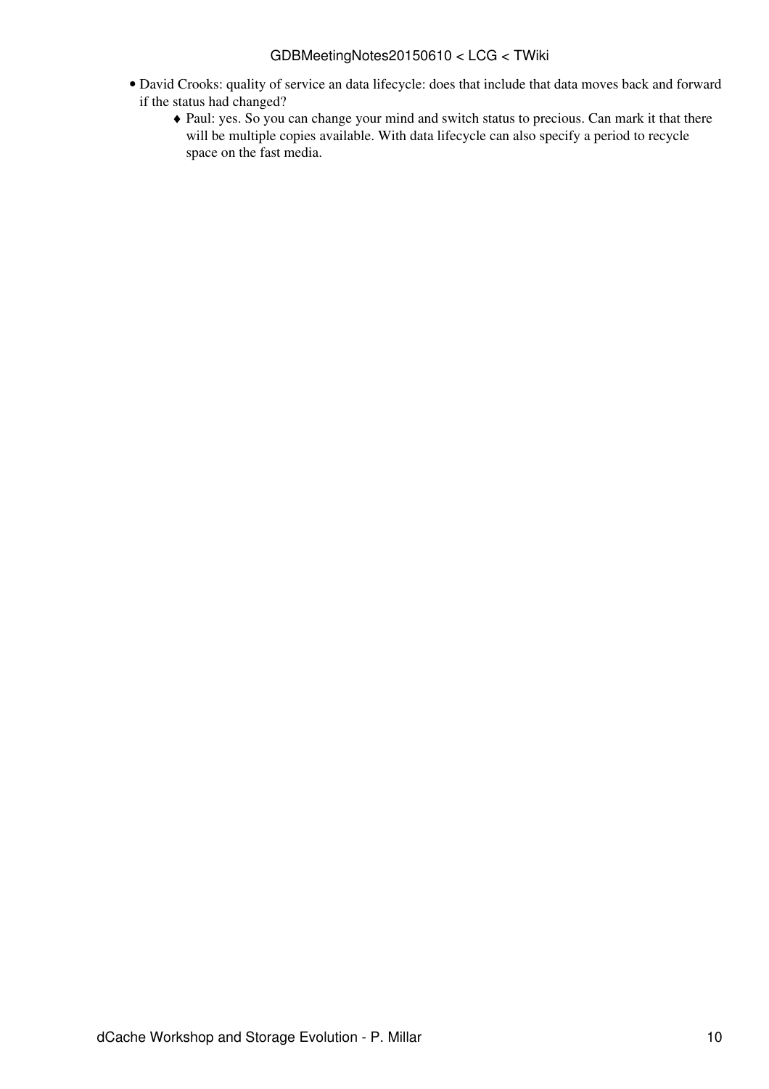- David Crooks: quality of service an data lifecycle: does that include that data moves back and forward if the status had changed?
	- Paul: yes. So you can change your mind and switch status to precious. Can mark it that there ♦ will be multiple copies available. With data lifecycle can also specify a period to recycle space on the fast media.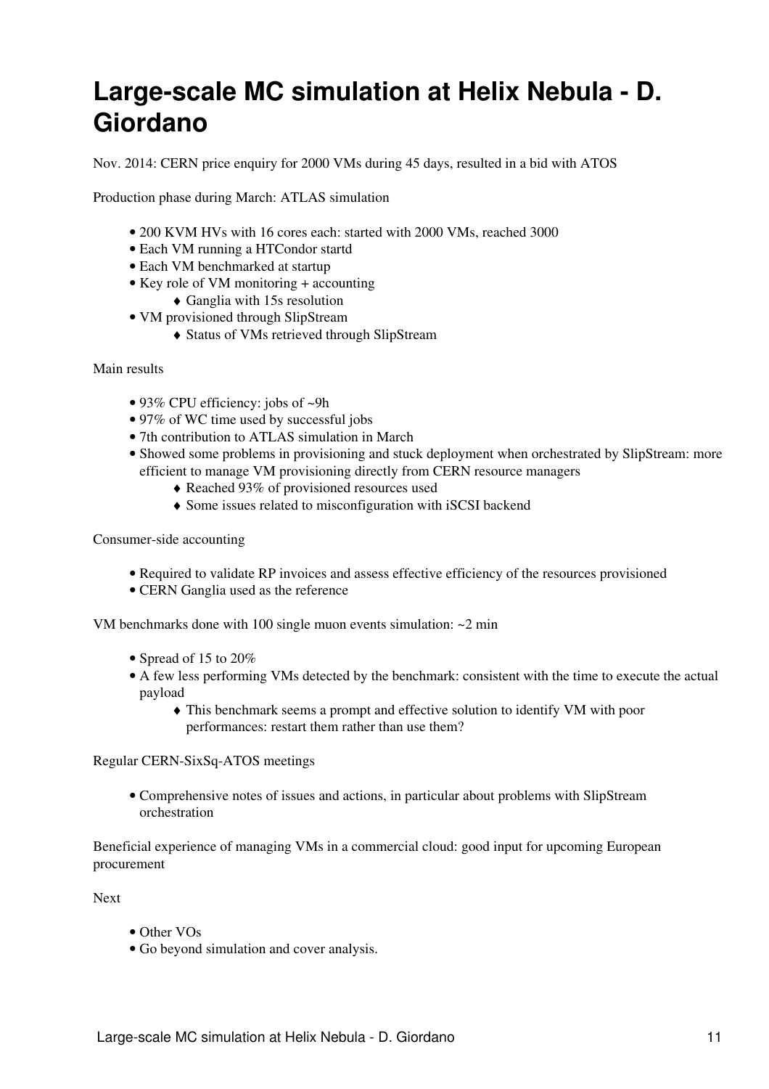## <span id="page-11-0"></span>**Large-scale MC simulation at Helix Nebula - D. Giordano**

Nov. 2014: CERN price enquiry for 2000 VMs during 45 days, resulted in a bid with ATOS

Production phase during March: ATLAS simulation

- 200 KVM HVs with 16 cores each: started with 2000 VMs, reached 3000
- Each VM running a HTCondor startd
- Each VM benchmarked at startup
- Key role of VM monitoring + accounting
	- $\triangleleft$  Ganglia with 15s resolution
- VM provisioned through [SlipStream](https://twiki.cern.ch/twiki/bin/edit/LCG/SlipStream?topicparent=LCG.GDBMeetingNotes20150610;nowysiwyg=1)
	- ♦ Status of VMs retrieved through [SlipStream](https://twiki.cern.ch/twiki/bin/edit/LCG/SlipStream?topicparent=LCG.GDBMeetingNotes20150610;nowysiwyg=1)

Main results

- 93% CPU efficiency: jobs of ~9h
- 97% of WC time used by successful jobs
- 7th contribution to ATLAS simulation in March
- Showed some problems in provisioning and stuck deployment when orchestrated by [SlipStream:](https://twiki.cern.ch/twiki/bin/edit/LCG/SlipStream?topicparent=LCG.GDBMeetingNotes20150610;nowysiwyg=1) more efficient to manage VM provisioning directly from CERN resource managers
	- ♦ Reached 93% of provisioned resources used
	- ♦ Some issues related to misconfiguration with iSCSI backend

Consumer-side accounting

- Required to validate RP invoices and assess effective efficiency of the resources provisioned
- CERN Ganglia used as the reference

VM benchmarks done with 100 single muon events simulation: ~2 min

- Spread of 15 to 20%
- A few less performing VMs detected by the benchmark: consistent with the time to execute the actual payload
	- This benchmark seems a prompt and effective solution to identify VM with poor ♦ performances: restart them rather than use them?

Regular CERN-SixSq-ATOS meetings

Comprehensive notes of issues and actions, in particular about problems with [SlipStream](https://twiki.cern.ch/twiki/bin/edit/LCG/SlipStream?topicparent=LCG.GDBMeetingNotes20150610;nowysiwyg=1) • orchestration

Beneficial experience of managing VMs in a commercial cloud: good input for upcoming European procurement

Next

- Other VOs
- Go beyond simulation and cover analysis.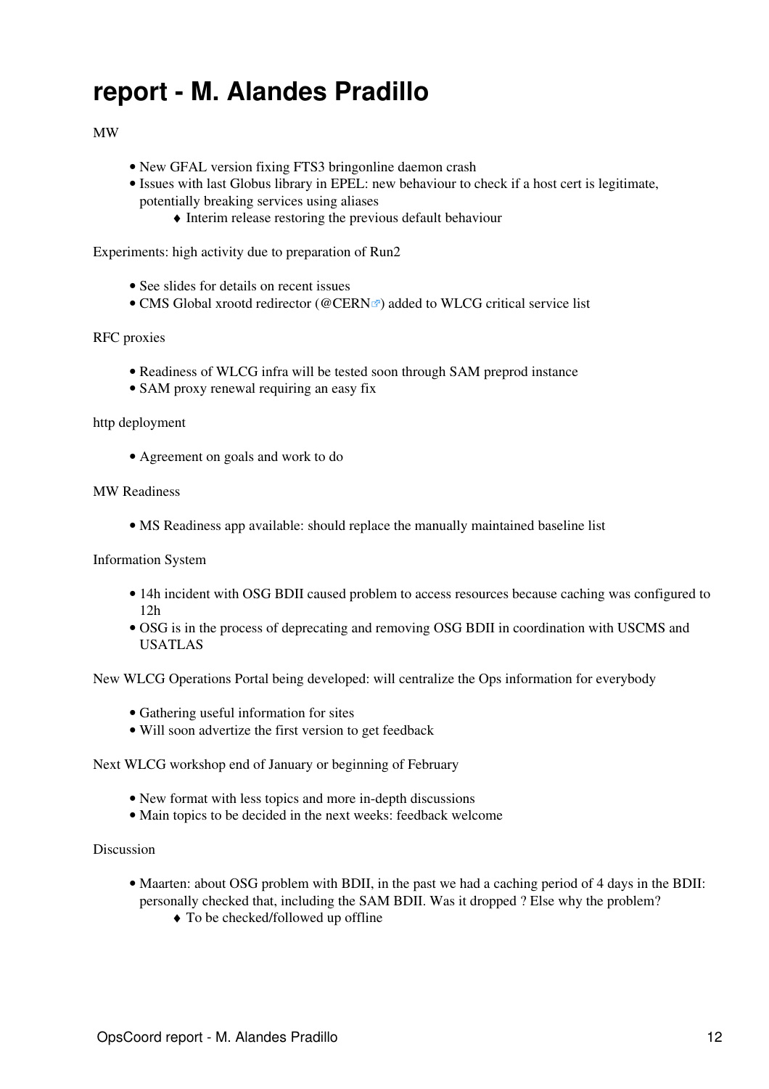## <span id="page-12-0"></span>**report - M. Alandes Pradillo**

## MW

- New GFAL version fixing FTS3 bringonline daemon crash
- Issues with last Globus library in EPEL: new behaviour to check if a host cert is legitimate, potentially breaking services using aliases
	- ♦ Interim release restoring the previous default behaviour

Experiments: high activity due to preparation of Run2

- See slides for details on recent issues
- CMS Global xrootd redirector [\(@CERN](https://twitter.com/CERN)<sup>®</sup>) added to WLCG critical service list

#### RFC proxies

- Readiness of WLCG infra will be tested soon through SAM preprod instance
- SAM proxy renewal requiring an easy fix

## http deployment

• Agreement on goals and work to do

#### MW Readiness

• MS Readiness app available: should replace the manually maintained baseline list

### Information System

- 14h incident with OSG BDII caused problem to access resources because caching was configured to 12h
- OSG is in the process of deprecating and removing OSG BDII in coordination with USCMS and USATLAS

New WLCG Operations Portal being developed: will centralize the Ops information for everybody

- Gathering useful information for sites
- Will soon advertize the first version to get feedback

Next WLCG workshop end of January or beginning of February

- New format with less topics and more in-depth discussions
- Main topics to be decided in the next weeks: feedback welcome

- Maarten: about OSG problem with BDII, in the past we had a caching period of 4 days in the BDII: personally checked that, including the SAM BDII. Was it dropped ? Else why the problem?
	- ♦ To be checked/followed up offline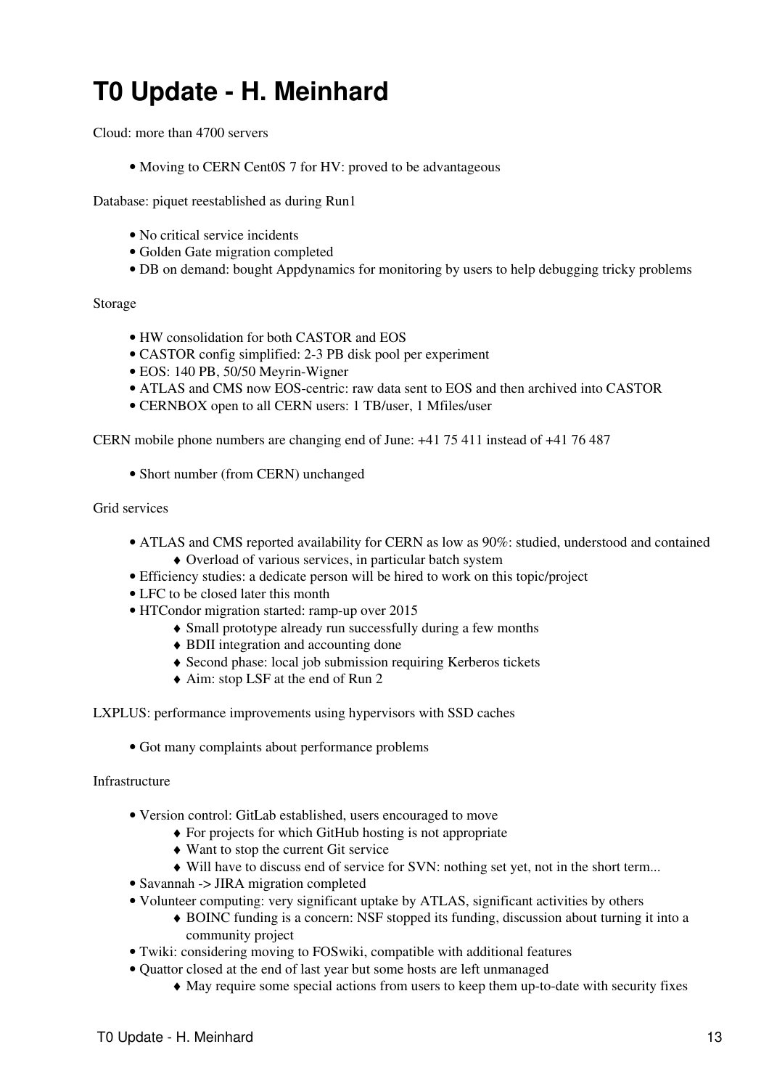## <span id="page-13-0"></span>**T0 Update - H. Meinhard**

Cloud: more than 4700 servers

• Moving to CERN Cent<sub>0</sub>S 7 for HV: proved to be advantageous

Database: piquet reestablished as during Run1

- No critical service incidents
- Golden Gate migration completed
- DB on demand: bought Appdynamics for monitoring by users to help debugging tricky problems

#### Storage

- HW consolidation for both CASTOR and EOS
- CASTOR config simplified: 2-3 PB disk pool per experiment
- EOS: 140 PB, 50/50 Meyrin-Wigner
- ATLAS and CMS now EOS-centric: raw data sent to EOS and then archived into CASTOR
- CERNBOX open to all CERN users: 1 TB/user, 1 Mfiles/user

CERN mobile phone numbers are changing end of June: +41 75 411 instead of +41 76 487

• Short number (from CERN) unchanged

#### Grid services

- ATLAS and CMS reported availability for CERN as low as 90%: studied, understood and contained ♦ Overload of various services, in particular batch system
- Efficiency studies: a dedicate person will be hired to work on this topic/project
- LFC to be closed later this month
- HTCondor migration started: ramp-up over 2015
	- ♦ Small prototype already run successfully during a few months
	- ♦ BDII integration and accounting done
	- ♦ Second phase: local job submission requiring Kerberos tickets
	- ♦ Aim: stop [LSF](https://twiki.cern.ch/twiki/bin/view/LCG/LSF) at the end of Run 2
- LXPLUS: performance improvements using hypervisors with SSD caches
	- Got many complaints about performance problems

#### Infrastructure

- Version control: [GitLab](https://twiki.cern.ch/twiki/bin/edit/LCG/GitLab?topicparent=LCG.GDBMeetingNotes20150610;nowysiwyg=1) established, users encouraged to move
	- ♦ For projects for which [GitHub](https://twiki.cern.ch/twiki/bin/edit/LCG/GitHub?topicparent=LCG.GDBMeetingNotes20150610;nowysiwyg=1) hosting is not appropriate
	- ♦ Want to stop the current Git service
	- ♦ Will have to discuss end of service for SVN: nothing set yet, not in the short term...
- Savannah -> JIRA migration completed
- Volunteer computing: very significant uptake by ATLAS, significant activities by others
	- BOINC funding is a concern: NSF stopped its funding, discussion about turning it into a ♦ community project
- Twiki: considering moving to FOSwiki, compatible with additional features
- Quattor closed at the end of last year but some hosts are left unmanaged
	- ♦ May require some special actions from users to keep them up-to-date with security fixes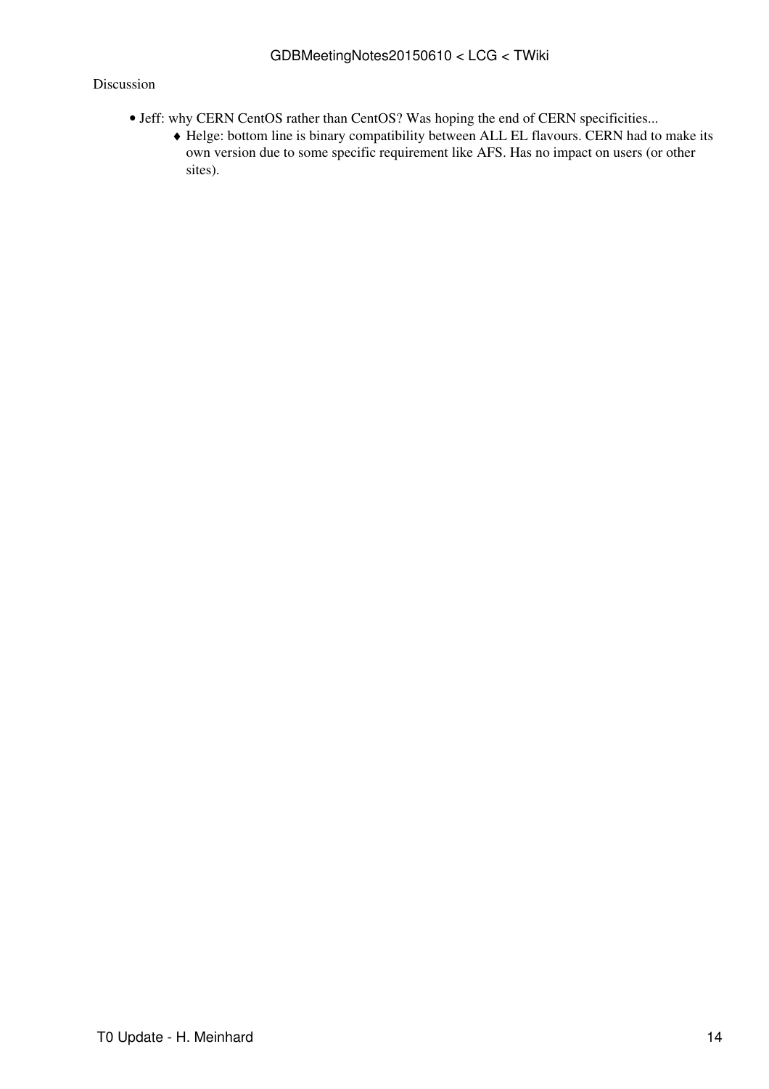- Jeff: why CERN [CentOS](https://twiki.cern.ch/twiki/bin/view/LCG/CentOS) rather than [CentOS?](https://twiki.cern.ch/twiki/bin/view/LCG/CentOS) Was hoping the end of CERN specificities...
	- Helge: bottom line is binary compatibility between ALL EL flavours. CERN had to make its ♦ own version due to some specific requirement like AFS. Has no impact on users (or other sites).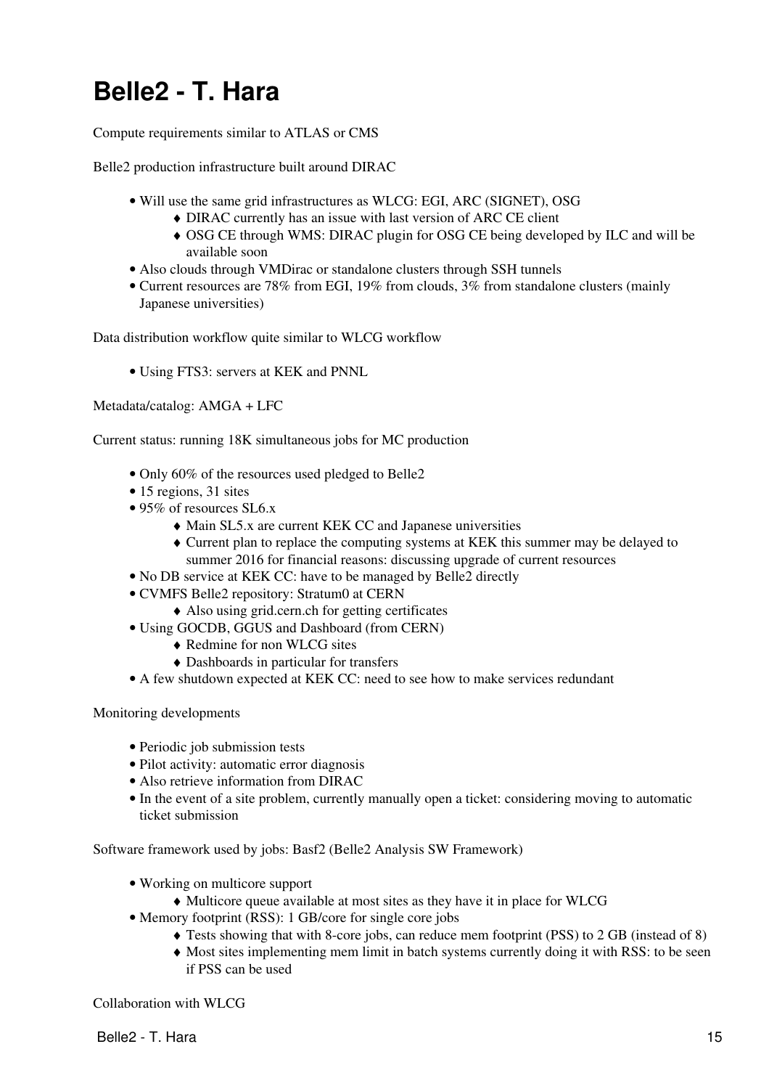# <span id="page-15-0"></span>**Belle2 - T. Hara**

Compute requirements similar to ATLAS or CMS

Belle2 production infrastructure built around DIRAC

- Will use the same grid infrastructures as WLCG: EGI, ARC (SIGNET), OSG
	- ♦ DIRAC currently has an issue with last version of ARC CE client
	- OSG CE through WMS: DIRAC plugin for OSG CE being developed by ILC and will be ♦ available soon
- Also clouds through VMDirac or standalone clusters through SSH tunnels
- Current resources are 78% from EGI, 19% from clouds, 3% from standalone clusters (mainly Japanese universities)

Data distribution workflow quite similar to WLCG workflow

• Using FTS3: servers at KEK and PNNL

Metadata/catalog: AMGA + LFC

Current status: running 18K simultaneous jobs for MC production

- Only 60% of the resources used pledged to Belle2
- 15 regions, 31 sites
- 95% of resources SL6.x
	- ♦ Main SL5.x are current KEK CC and Japanese universities
	- Current plan to replace the computing systems at KEK this summer may be delayed to ♦ summer 2016 for financial reasons: discussing upgrade of current resources
- No DB service at KEK CC: have to be managed by Belle2 directly
- CVMFS Belle2 repository: Stratum0 at CERN
	- ♦ Also using grid.cern.ch for getting certificates
- Using GOCDB, GGUS and Dashboard (from CERN)
	- ♦ Redmine for non WLCG sites
	- ♦ Dashboards in particular for transfers
- A few shutdown expected at KEK CC: need to see how to make services redundant

Monitoring developments

- Periodic job submission tests
- Pilot activity: automatic error diagnosis
- Also retrieve information from DIRAC
- In the event of a site problem, currently manually open a ticket: considering moving to automatic ticket submission

Software framework used by jobs: Basf2 (Belle2 Analysis SW Framework)

- Working on multicore support
	- ♦ Multicore queue available at most sites as they have it in place for WLCG
- Memory footprint (RSS): 1 GB/core for single core jobs
	- ♦ Tests showing that with 8-core jobs, can reduce mem footprint (PSS) to 2 GB (instead of 8)
	- Most sites implementing mem limit in batch systems currently doing it with RSS: to be seen ♦ if PSS can be used

Collaboration with WLCG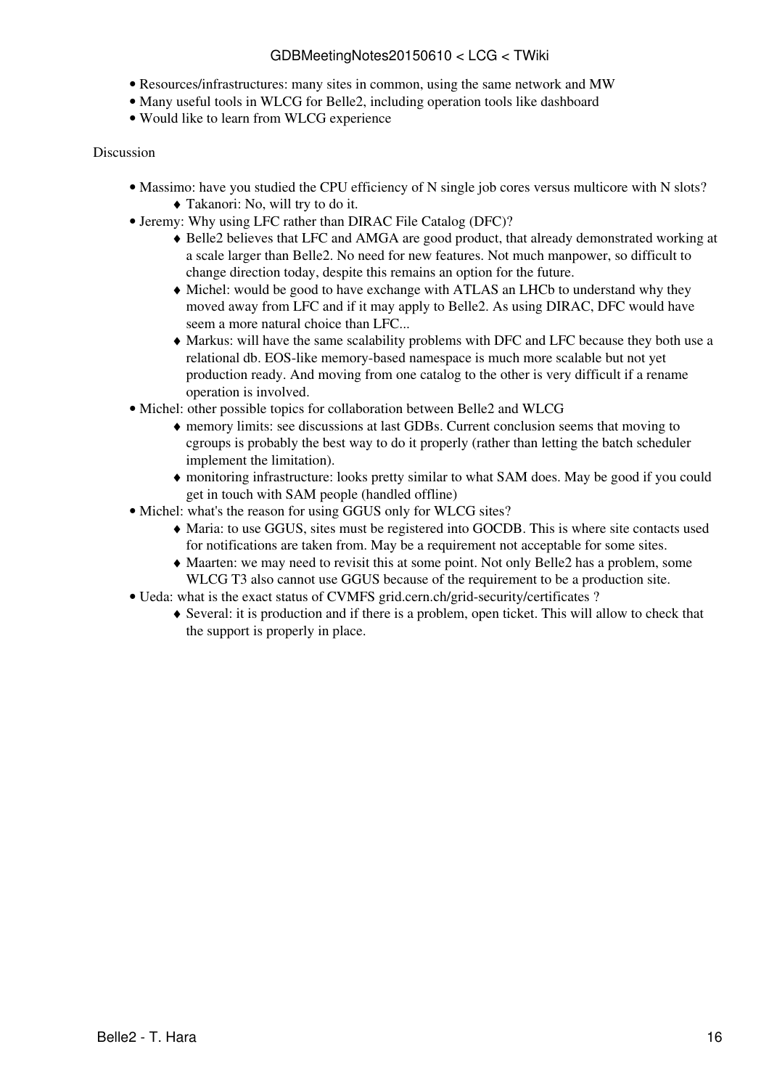## GDBMeetingNotes20150610 < LCG < TWiki

- Resources/infrastructures: many sites in common, using the same network and MW
- Many useful tools in WLCG for Belle2, including operation tools like dashboard
- Would like to learn from WLCG experience

- Massimo: have you studied the CPU efficiency of N single job cores versus multicore with N slots? ♦ Takanori: No, will try to do it.
- Jeremy: Why using LFC rather than DIRAC File Catalog (DFC)?
	- Belle2 believes that LFC and AMGA are good product, that already demonstrated working at ♦ a scale larger than Belle2. No need for new features. Not much manpower, so difficult to change direction today, despite this remains an option for the future.
	- Michel: would be good to have exchange with ATLAS an LHCb to understand why they ♦ moved away from LFC and if it may apply to Belle2. As using DIRAC, DFC would have seem a more natural choice than LFC...
	- Markus: will have the same scalability problems with DFC and LFC because they both use a ♦ relational db. EOS-like memory-based namespace is much more scalable but not yet production ready. And moving from one catalog to the other is very difficult if a rename operation is involved.
- Michel: other possible topics for collaboration between Belle2 and WLCG
	- memory limits: see discussions at last GDBs. Current conclusion seems that moving to ♦ cgroups is probably the best way to do it properly (rather than letting the batch scheduler implement the limitation).
	- monitoring infrastructure: looks pretty similar to what SAM does. May be good if you could ♦ get in touch with SAM people (handled offline)
- Michel: what's the reason for using GGUS only for WLCG sites?
	- Maria: to use GGUS, sites must be registered into GOCDB. This is where site contacts used ♦ for notifications are taken from. May be a requirement not acceptable for some sites.
	- Maarten: we may need to revisit this at some point. Not only Belle2 has a problem, some ♦ WLCG T3 also cannot use GGUS because of the requirement to be a production site.
- Ueda: what is the exact status of CVMFS grid.cern.ch/grid-security/certificates ?
	- Several: it is production and if there is a problem, open ticket. This will allow to check that ♦ the support is properly in place.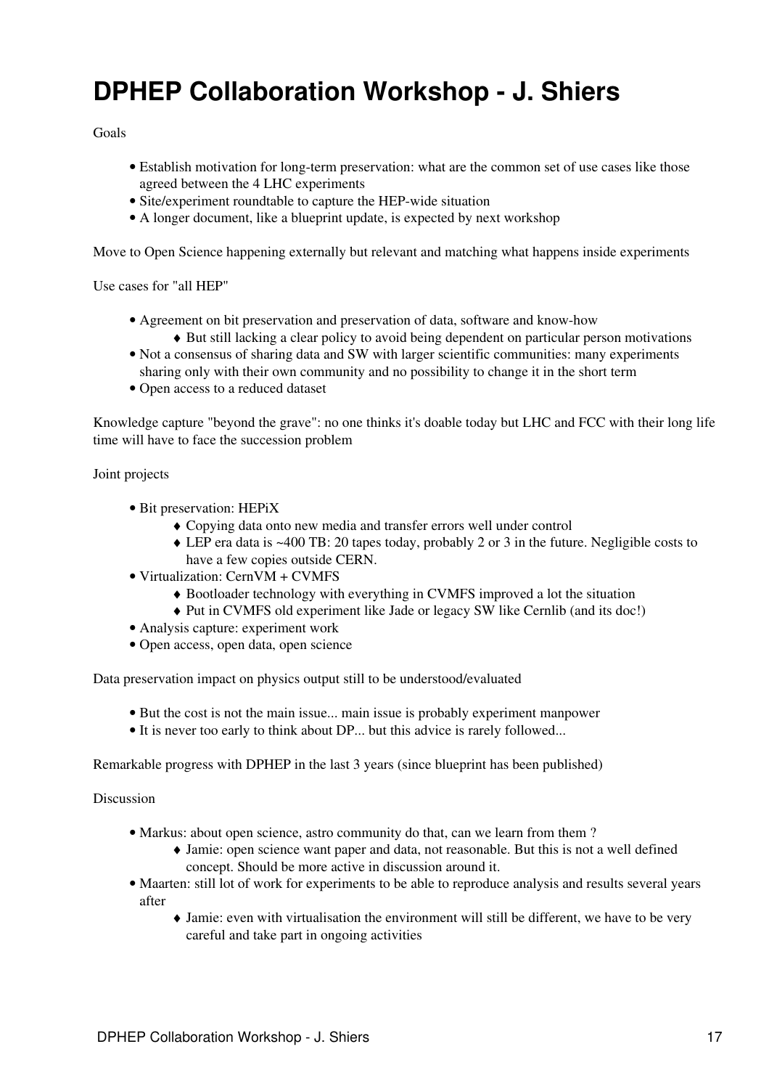## <span id="page-17-0"></span>**DPHEP Collaboration Workshop - J. Shiers**

Goals

- Establish motivation for long-term preservation: what are the common set of use cases like those agreed between the 4 LHC experiments
- Site/experiment roundtable to capture the HEP-wide situation
- A longer document, like a blueprint update, is expected by next workshop

Move to Open Science happening externally but relevant and matching what happens inside experiments

Use cases for "all HEP"

- Agreement on bit preservation and preservation of data, software and know-how ♦ But still lacking a clear policy to avoid being dependent on particular person motivations
- Not a consensus of sharing data and SW with larger scientific communities: many experiments sharing only with their own community and no possibility to change it in the short term
- Open access to a reduced dataset

Knowledge capture "beyond the grave": no one thinks it's doable today but LHC and FCC with their long life time will have to face the succession problem

Joint projects

- Bit preservation: [HEPiX](https://twiki.cern.ch/twiki/bin/view/LCG/HEPiX)
	- ♦ Copying data onto new media and transfer errors well under control
	- LEP era data is ~400 TB: 20 tapes today, probably 2 or 3 in the future. Negligible costs to ♦ have a few copies outside CERN.
- Virtualization: [CernVM](https://twiki.cern.ch/twiki/bin/edit/LCG/CernVM?topicparent=LCG.GDBMeetingNotes20150610;nowysiwyg=1) + CVMFS
	- ♦ Bootloader technology with everything in CVMFS improved a lot the situation
	- ♦ Put in CVMFS old experiment like Jade or legacy SW like Cernlib (and its doc!)
- Analysis capture: experiment work
- Open access, open data, open science

Data preservation impact on physics output still to be understood/evaluated

- But the cost is not the main issue... main issue is probably experiment manpower
- It is never too early to think about DP... but this advice is rarely followed...

Remarkable progress with DPHEP in the last 3 years (since blueprint has been published)

- Markus: about open science, astro community do that, can we learn from them?
	- Jamie: open science want paper and data, not reasonable. But this is not a well defined ♦ concept. Should be more active in discussion around it.
- Maarten: still lot of work for experiments to be able to reproduce analysis and results several years after
	- Jamie: even with virtualisation the environment will still be different, we have to be very ♦ careful and take part in ongoing activities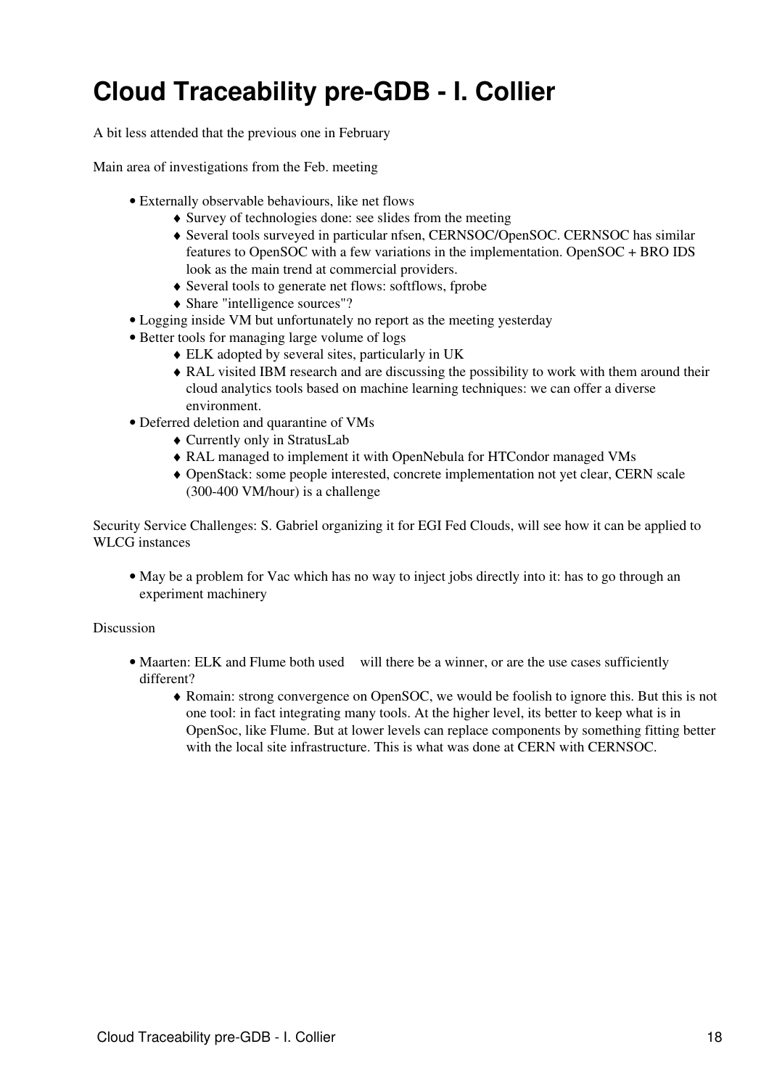# <span id="page-18-0"></span>**Cloud Traceability pre-GDB - I. Collier**

A bit less attended that the previous one in February

Main area of investigations from the Feb. meeting

- Externally observable behaviours, like net flows
	- ♦ Survey of technologies done: see slides from the meeting
	- Several tools surveyed in particular nfsen, CERNSOC/OpenSOC. CERNSOC has similar ♦ features to [OpenSOC](https://twiki.cern.ch/twiki/bin/edit/LCG/OpenSOC?topicparent=LCG.GDBMeetingNotes20150610;nowysiwyg=1) with a few variations in the implementation. [OpenSOC](https://twiki.cern.ch/twiki/bin/edit/LCG/OpenSOC?topicparent=LCG.GDBMeetingNotes20150610;nowysiwyg=1) + BRO IDS look as the main trend at commercial providers.
	- ♦ Several tools to generate net flows: softflows, fprobe
	- ♦ Share "intelligence sources"?
- Logging inside VM but unfortunately no report as the meeting yesterday
- Better tools for managing large volume of logs
	- ♦ ELK adopted by several sites, particularly in UK
	- [RAL](https://twiki.cern.ch/twiki/bin/view/LCG/RAL) visited IBM research and are discussing the possibility to work with them around their ♦ cloud analytics tools based on machine learning techniques: we can offer a diverse environment.
- Deferred deletion and quarantine of VMs
	- ♦ Currently only in [StratusLab](https://twiki.cern.ch/twiki/bin/edit/LCG/StratusLab?topicparent=LCG.GDBMeetingNotes20150610;nowysiwyg=1)
	- ♦ [RAL](https://twiki.cern.ch/twiki/bin/view/LCG/RAL) managed to implement it with [OpenNebula](https://twiki.cern.ch/twiki/bin/edit/LCG/OpenNebula?topicparent=LCG.GDBMeetingNotes20150610;nowysiwyg=1) for HTCondor managed VMs
	- [OpenStack](https://twiki.cern.ch/twiki/bin/edit/LCG/OpenStack?topicparent=LCG.GDBMeetingNotes20150610;nowysiwyg=1): some people interested, concrete implementation not yet clear, CERN scale ♦ (300-400 VM/hour) is a challenge

Security Service Challenges: S. Gabriel organizing it for EGI Fed Clouds, will see how it can be applied to WLCG instances

• May be a problem for Vac which has no way to inject jobs directly into it: has to go through an experiment machinery

- Maarten: ELK and Flume both used will there be a winner, or are the use cases sufficiently different?
	- Romain: strong convergence on [OpenSOC](https://twiki.cern.ch/twiki/bin/edit/LCG/OpenSOC?topicparent=LCG.GDBMeetingNotes20150610;nowysiwyg=1), we would be foolish to ignore this. But this is not ♦ one tool: in fact integrating many tools. At the higher level, its better to keep what is in [OpenSoc](https://twiki.cern.ch/twiki/bin/edit/LCG/OpenSoc?topicparent=LCG.GDBMeetingNotes20150610;nowysiwyg=1), like Flume. But at lower levels can replace components by something fitting better with the local site infrastructure. This is what was done at CERN with CERNSOC.